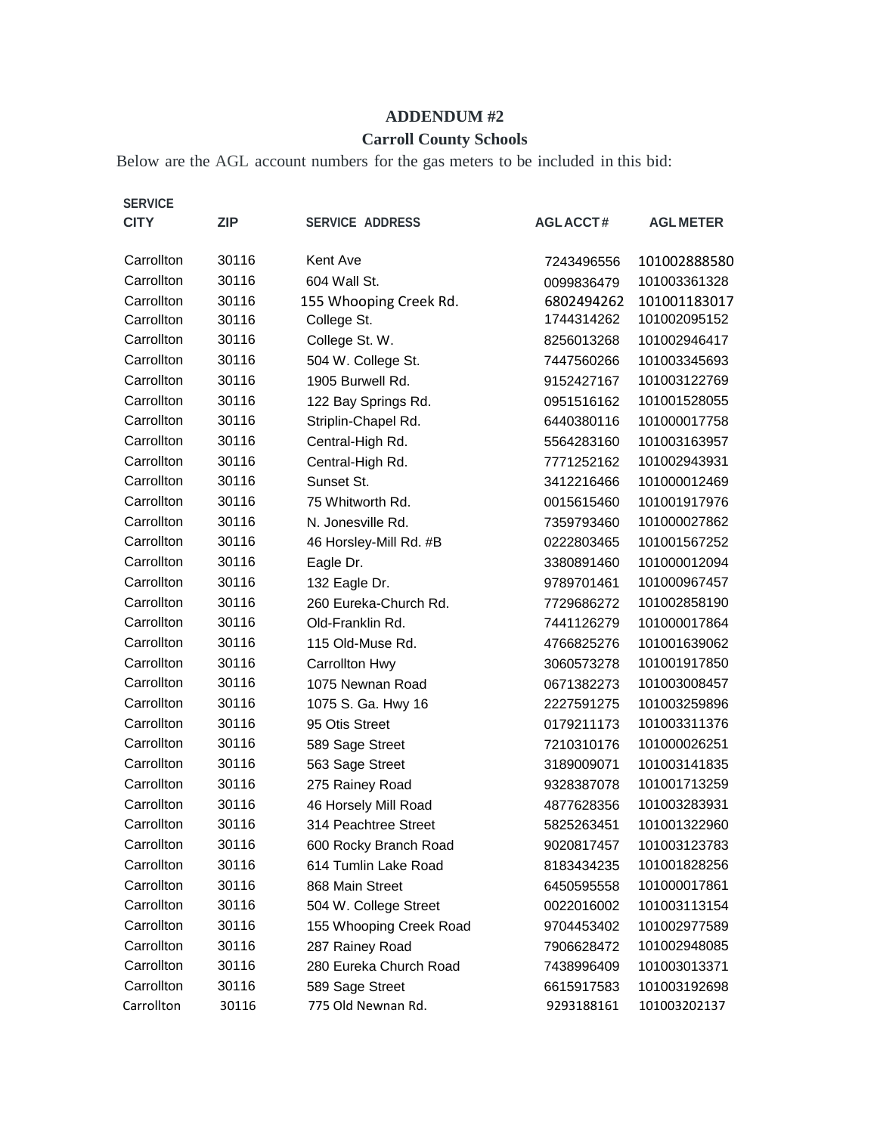## **ADDENDUM #2**

## **Carroll County Schools**

Below are the AGL account numbers for the gas meters to be included in this bid:

| <b>SERVICE</b><br><b>CITY</b> | <b>ZIP</b> | <b>SERVICE ADDRESS</b>  | <b>AGLACCT#</b> | <b>AGL METER</b> |
|-------------------------------|------------|-------------------------|-----------------|------------------|
| Carrollton                    | 30116      | Kent Ave                | 7243496556      | 101002888580     |
| Carrollton                    | 30116      | 604 Wall St.            | 0099836479      | 101003361328     |
| Carrollton                    | 30116      | 155 Whooping Creek Rd.  | 6802494262      | 101001183017     |
| Carrollton                    | 30116      | College St.             | 1744314262      | 101002095152     |
| Carrollton                    | 30116      | College St. W.          | 8256013268      | 101002946417     |
| Carrollton                    | 30116      | 504 W. College St.      | 7447560266      | 101003345693     |
| Carrollton                    | 30116      | 1905 Burwell Rd.        | 9152427167      | 101003122769     |
| Carrollton                    | 30116      | 122 Bay Springs Rd.     | 0951516162      | 101001528055     |
| Carrollton                    | 30116      | Striplin-Chapel Rd.     | 6440380116      | 101000017758     |
| Carrollton                    | 30116      | Central-High Rd.        | 5564283160      | 101003163957     |
| Carrollton                    | 30116      | Central-High Rd.        | 7771252162      | 101002943931     |
| Carrollton                    | 30116      | Sunset St.              | 3412216466      | 101000012469     |
| Carrollton                    | 30116      | 75 Whitworth Rd.        | 0015615460      | 101001917976     |
| Carrollton                    | 30116      | N. Jonesville Rd.       | 7359793460      | 101000027862     |
| Carrollton                    | 30116      | 46 Horsley-Mill Rd. #B  | 0222803465      | 101001567252     |
| Carrollton                    | 30116      | Eagle Dr.               | 3380891460      | 101000012094     |
| Carrollton                    | 30116      | 132 Eagle Dr.           | 9789701461      | 101000967457     |
| Carrollton                    | 30116      | 260 Eureka-Church Rd.   | 7729686272      | 101002858190     |
| Carrollton                    | 30116      | Old-Franklin Rd.        | 7441126279      | 101000017864     |
| Carrollton                    | 30116      | 115 Old-Muse Rd.        | 4766825276      | 101001639062     |
| Carrollton                    | 30116      | Carrollton Hwy          | 3060573278      | 101001917850     |
| Carrollton                    | 30116      | 1075 Newnan Road        | 0671382273      | 101003008457     |
| Carrollton                    | 30116      | 1075 S. Ga. Hwy 16      | 2227591275      | 101003259896     |
| Carrollton                    | 30116      | 95 Otis Street          | 0179211173      | 101003311376     |
| Carrollton                    | 30116      | 589 Sage Street         | 7210310176      | 101000026251     |
| Carrollton                    | 30116      | 563 Sage Street         | 3189009071      | 101003141835     |
| Carrollton                    | 30116      | 275 Rainey Road         | 9328387078      | 101001713259     |
| Carrollton                    | 30116      | 46 Horsely Mill Road    | 4877628356      | 101003283931     |
| Carrollton                    | 30116      | 314 Peachtree Street    | 5825263451      | 101001322960     |
| Carrollton                    | 30116      | 600 Rocky Branch Road   | 9020817457      | 101003123783     |
| Carrollton                    | 30116      | 614 Tumlin Lake Road    | 8183434235      | 101001828256     |
| Carrollton                    | 30116      | 868 Main Street         | 6450595558      | 101000017861     |
| Carrollton                    | 30116      | 504 W. College Street   | 0022016002      | 101003113154     |
| Carrollton                    | 30116      | 155 Whooping Creek Road | 9704453402      | 101002977589     |
| Carrollton                    | 30116      | 287 Rainey Road         | 7906628472      | 101002948085     |
| Carrollton                    | 30116      | 280 Eureka Church Road  | 7438996409      | 101003013371     |
| Carrollton                    | 30116      | 589 Sage Street         | 6615917583      | 101003192698     |
| Carrollton                    | 30116      | 775 Old Newnan Rd.      | 9293188161      | 101003202137     |